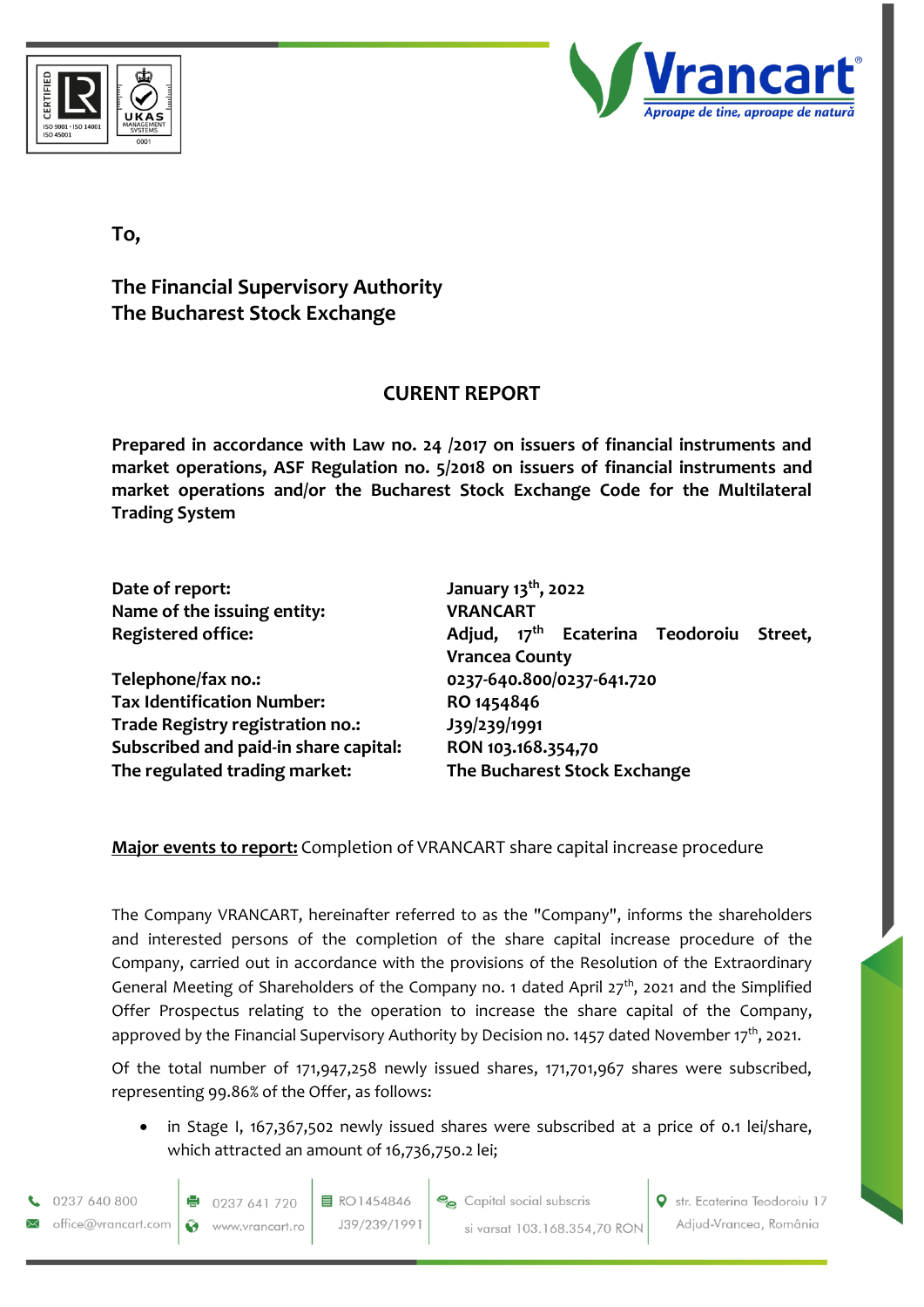



**To,**

**The Financial Supervisory Authority The Bucharest Stock Exchange**

## **CURENT REPORT**

**Prepared in accordance with Law no. 24 /2017 on issuers of financial instruments and market operations, ASF Regulation no. 5/2018 on issuers of financial instruments and market operations and/or the Bucharest Stock Exchange Code for the Multilateral Trading System**

| Date of report:                       | January 13 <sup>th</sup> , 2022                        |
|---------------------------------------|--------------------------------------------------------|
| Name of the issuing entity:           | <b>VRANCART</b>                                        |
| <b>Registered office:</b>             | Adjud, 17 <sup>th</sup> Ecaterina Teodoroiu<br>Street. |
|                                       | <b>Vrancea County</b>                                  |
| Telephone/fax no.:                    | 0237-640.800/0237-641.720                              |
| <b>Tax Identification Number:</b>     | RO 1454846                                             |
| Trade Registry registration no.:      | J39/239/1991                                           |
| Subscribed and paid-in share capital: | RON 103.168.354,70                                     |
| The regulated trading market:         | The Bucharest Stock Exchange                           |

## **Major events to report:** Completion of VRANCART share capital increase procedure

The Company VRANCART, hereinafter referred to as the "Company", informs the shareholders and interested persons of the completion of the share capital increase procedure of the Company, carried out in accordance with the provisions of the Resolution of the Extraordinary General Meeting of Shareholders of the Company no. 1 dated April 27<sup>th</sup>, 2021 and the Simplified Offer Prospectus relating to the operation to increase the share capital of the Company, approved by the Financial Supervisory Authority by Decision no. 1457 dated November 17<sup>th</sup>, 2021.

Of the total number of 171,947,258 newly issued shares, 171,701,967 shares were subscribed, representing 99.86% of the Offer, as follows:

in Stage I, 167,367,502 newly issued shares were subscribed at a price of 0.1 lei/share, which attracted an amount of 16,736,750.2 lei;

目 RO1454846 J39/239/1991

Str. Ecaterina Teodoroiu 17 Adjud-Vrancea, România